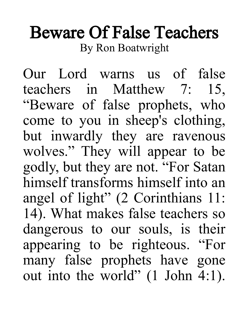## Beware Of False Teachers By Ron Boatwright

Our Lord warns us of false teachers in Matthew 7: 15, "Beware of false prophets, who come to you in sheep's clothing, but inwardly they are ravenous wolves." They will appear to be godly, but they are not. "For Satan himself transforms himself into an angel of light" (2 Corinthians 11: 14). What makes false teachers so dangerous to our souls, is their appearing to be righteous. "For many false prophets have gone out into the world" (1 John 4:1).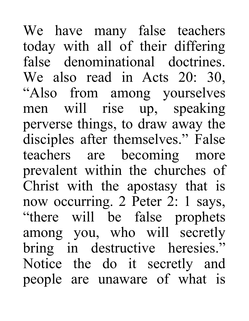We have many false teachers today with all of their differing false denominational doctrines. We also read in Acts 20: 30, "Also from among yourselves men will rise up, speaking perverse things, to draw away the disciples after themselves." False teachers are becoming more prevalent within the churches of Christ with the apostasy that is now occurring. 2 Peter 2: 1 says, "there will be false prophets among you, who will secretly bring in destructive heresies." Notice the do it secretly and people are unaware of what is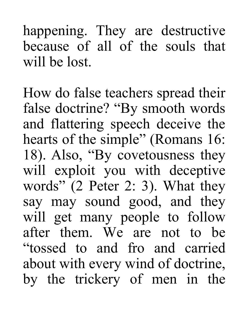happening. They are destructive because of all of the souls that will be lost.

How do false teachers spread their false doctrine? "By smooth words and flattering speech deceive the hearts of the simple" (Romans 16: 18). Also, "By covetousness they will exploit you with deceptive words" (2 Peter 2: 3). What they say may sound good, and they will get many people to follow after them. We are not to be "tossed to and fro and carried about with every wind of doctrine, by the trickery of men in the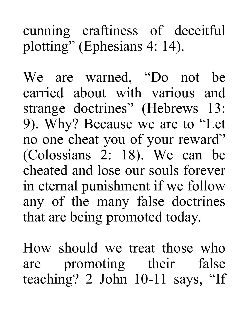## cunning craftiness of deceitful plotting" (Ephesians 4: 14).

We are warned, "Do not be carried about with various and strange doctrines" (Hebrews 13: 9). Why? Because we are to "Let no one cheat you of your reward" (Colossians 2: 18). We can be cheated and lose our souls forever in eternal punishment if we follow any of the many false doctrines that are being promoted today.

How should we treat those who are promoting their false teaching? 2 John 10-11 says, "If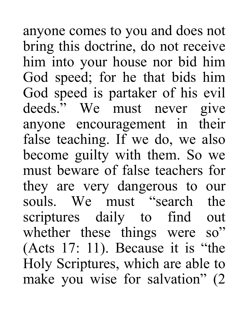anyone comes to you and does not bring this doctrine, do not receive him into your house nor bid him God speed; for he that bids him God speed is partaker of his evil deeds." We must never give anyone encouragement in their false teaching. If we do, we also become guilty with them. So we must beware of false teachers for they are very dangerous to our souls. We must "search the scriptures daily to find out whether these things were so" (Acts 17: 11). Because it is "the Holy Scriptures, which are able to make you wise for salvation" (2